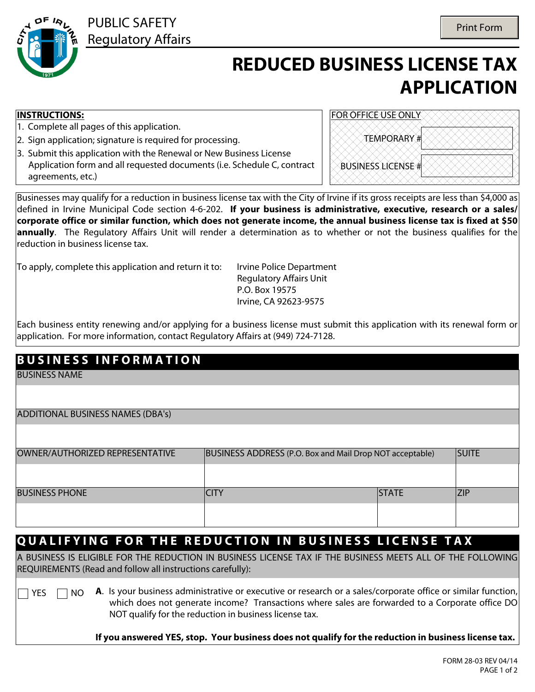

PUBLIC SAFETY Regulatory Affairs

# **REDUCED BUSINESS LICENSE TAX APPLICATION**

#### **INSTRUCTIONS:**

- 1. Complete all pages of this application.
- 2. Sign application; signature is required for processing.
- 3. Submit this application with the Renewal or New Business License Application form and all requested documents (i.e. Schedule C, contract agreements, etc.)

| FOR OFFICE USE ONLY       |  |
|---------------------------|--|
| <b>TEMPORARY#</b>         |  |
| <b>BUSINESS LICENSE #</b> |  |

Businesses may qualify for a reduction in business license tax with the City of Irvine if its gross receipts are less than \$4,000 as defined in Irvine Municipal Code section 4-6-202. **If your business is administrative, executive, research or a sales/ corporate office or similar function, which does not generate income, the annual business license tax is fixed at \$50 annually**. The Regulatory Affairs Unit will render a determination as to whether or not the business qualifies for the reduction in business license tax.

To apply, complete this application and return it to: Irvine Police Department

Regulatory Affairs Unit P.O. Box 19575 Irvine, CA 92623-9575

Each business entity renewing and/or applying for a business license must submit this application with its renewal form or application. For more information, contact Regulatory Affairs at (949) 724-7128.

### **B U S I N E S S I N F O R M A T I O N**

BUSINESS NAME

| ADDITIONAL BUSINESS NAMES (DBA's) |  |  |  |
|-----------------------------------|--|--|--|
|-----------------------------------|--|--|--|

| OWNER/AUTHORIZED REPRESENTATIVE | BUSINESS ADDRESS (P.O. Box and Mail Drop NOT acceptable) | <b>SUITE</b>  |  |
|---------------------------------|----------------------------------------------------------|---------------|--|
|                                 |                                                          |               |  |
| <b>BUSINESS PHONE</b>           | `ITY                                                     | <b>ISTATE</b> |  |
|                                 |                                                          |               |  |

#### **QUALIFYING FOR THE REDUCTION IN BUSINESS LICENSE TAX**

A BUSINESS IS ELIGIBLE FOR THE REDUCTION IN BUSINESS LICENSE TAX IF THE BUSINESS MEETS ALL OF THE FOLLOWING REQUIREMENTS (Read and follow all instructions carefully):

 $\Box$  YES  $\Box$  NO **A**. Is your business administrative or executive or research or a sales/corporate office or similar function, which does not generate income? Transactions where sales are forwarded to a Corporate office DO NOT qualify for the reduction in business license tax.

**If you answered YES, stop. Your business does not qualify for the reduction in business license tax.**